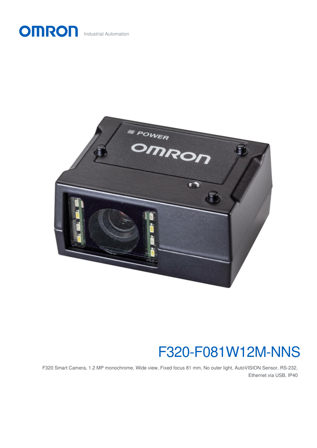



## F320-F081W12M-NNS

F320 Smart Camera, 1.2 MP monochrome, Wide view, Fixed focus 81 mm, No outer light, AutoVISION Sensor, RS-232, Ethernet via USB, IP40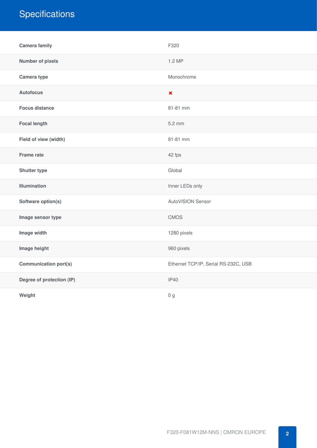### **Specifications**

| <b>Camera family</b>         | F320                                 |
|------------------------------|--------------------------------------|
| <b>Number of pixels</b>      | 1.2 MP                               |
| Camera type                  | Monochrome                           |
| <b>Autofocus</b>             | $\pmb{\times}$                       |
| <b>Focus distance</b>        | 81-81 mm                             |
| <b>Focal length</b>          | 5.2 mm                               |
| Field of view (width)        | 81-81 mm                             |
| <b>Frame rate</b>            | 42 fps                               |
| <b>Shutter type</b>          | Global                               |
| <b>Illumination</b>          | Inner LEDs only                      |
| Software option(s)           | AutoVISION Sensor                    |
| Image sensor type            | <b>CMOS</b>                          |
| Image width                  | 1280 pixels                          |
| Image height                 | 960 pixels                           |
| <b>Communication port(s)</b> | Ethernet TCP/IP, Serial RS-232C, USB |
| Degree of protection (IP)    | <b>IP40</b>                          |
| Weight                       | 0 <sub>g</sub>                       |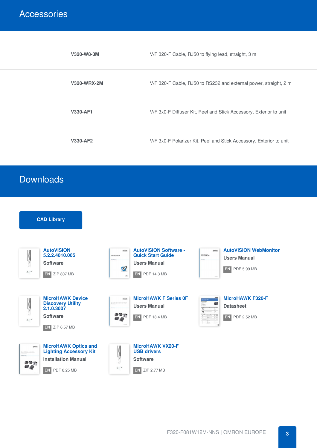#### **Accessories**

| V320-W8-3M         | V/F 320-F Cable, RJ50 to flying lead, straight, 3 m                 |
|--------------------|---------------------------------------------------------------------|
| <b>V320-WRX-2M</b> | V/F 320-F Cable, RJ50 to RS232 and external power, straight, 2 m    |
| <b>V330-AF1</b>    | V/F 3x0-F Diffuser Kit, Peel and Stick Accessory, Exterior to unit  |
| <b>V330-AF2</b>    | V/F 3x0-F Polarizer Kit, Peel and Stick Accessory, Exterior to unit |

#### Downloads

| <b>CAD Library</b>                                                                                                                                               |                                                                                                                                                                                    |                                                                                                                                                      |
|------------------------------------------------------------------------------------------------------------------------------------------------------------------|------------------------------------------------------------------------------------------------------------------------------------------------------------------------------------|------------------------------------------------------------------------------------------------------------------------------------------------------|
| <b>AutoVISION</b><br>$\frac{1}{2}$<br>5.2.2.4010.005<br><b>Software</b><br>ZIP<br>EN ZIP 807 MB                                                                  | <b>AutoVISION Software -</b><br>omnon<br><b>Quick Start Guide</b><br>Ack uppe briese<br><b>Scales Sup</b><br><b>Users Manual</b><br><b>iy</b><br>$EN$ PDF 14.3 MB<br>$\frac{1}{2}$ | <b>AutoVISION WebMonitor</b><br>omnon<br>Georgianaten<br>Onre Waldeslav<br><b>Users Manual</b><br>tracked<br>EN PDF 5.99 MB                          |
| <b>MicroHAWK Device</b><br>$\frac{1}{2}$<br><b>Discovery Utility</b><br>2.1.0.3007<br><b>Software</b><br>ZIP<br>EN<br>ZIP 6.57 MB                                | <b>MicroHAWK F Series OF</b><br>omnon<br>MoreHMN FOSP (FOSP) NOLP (NOLP)<br>RealCation<br><b>Users Manual</b><br>993<br>EN PDF 18.4 MB                                             | <b>MicroHAWK F320-F</b><br>$\overline{\sigma}$ ( $\overline{\Pi}$<br><b>Datasheet</b><br>$\overline{u}$<br>in<br>India<br>$ENI$ PDF 2.52 MB<br>$-12$ |
| <b>MicroHAWK Optics and</b><br>omeon<br><b>Lighting Accessory Kit</b><br>Non-MAN Orbitant up to<br><b>Installation Manual</b><br>800<br>EN<br><b>PDF 8.25 MB</b> | <b>MicroHAWK VX20-F</b><br>$\frac{1}{2}$ = $\frac{1}{2}$ and $\frac{1}{2}$<br><b>USB drivers</b><br><b>Software</b><br>ZIP<br>$EN$ ZIP 2.77 MB                                     |                                                                                                                                                      |